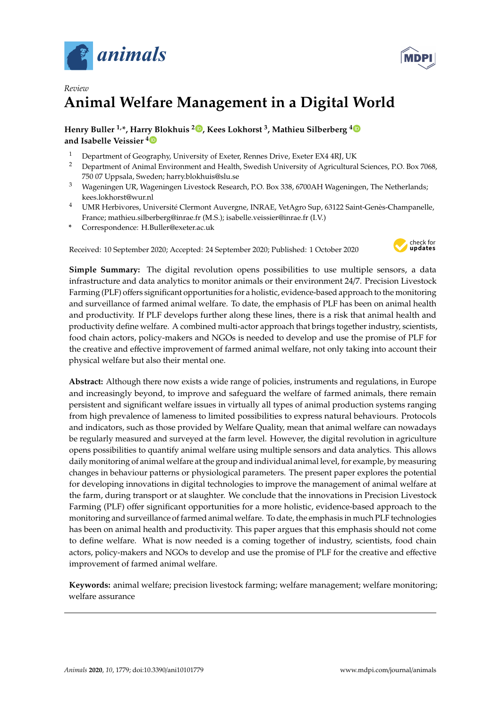



# *Review* **Animal Welfare Management in a Digital World**

# **Henry Buller 1,\*, Harry Blokhuis <sup>2</sup> [,](https://orcid.org/0000-0003-3608-6355) Kees Lokhorst <sup>3</sup> , Mathieu Silberberg [4](https://orcid.org/0000-0003-3345-8088) and Isabelle Veissier [4](https://orcid.org/0000-0002-8497-5395)**

- <sup>1</sup> Department of Geography, University of Exeter, Rennes Drive, Exeter EX4 4RJ, UK<br><sup>2</sup> Department of Animal Environment and Health, Suradish University of Agricultural
- <sup>2</sup> Department of Animal Environment and Health, Swedish University of Agricultural Sciences, P.O. Box 7068, 750 07 Uppsala, Sweden; harry.blokhuis@slu.se
- <sup>3</sup> Wageningen UR, Wageningen Livestock Research, P.O. Box 338, 6700AH Wageningen, The Netherlands; kees.lokhorst@wur.nl
- <sup>4</sup> UMR Herbivores, Université Clermont Auvergne, INRAE, VetAgro Sup, 63122 Saint-Genès-Champanelle, France; mathieu.silberberg@inrae.fr (M.S.); isabelle.veissier@inrae.fr (I.V.)
- **\*** Correspondence: H.Buller@exeter.ac.uk

Received: 10 September 2020; Accepted: 24 September 2020; Published: 1 October 2020



**Simple Summary:** The digital revolution opens possibilities to use multiple sensors, a data infrastructure and data analytics to monitor animals or their environment 24/7. Precision Livestock Farming (PLF) offers significant opportunities for a holistic, evidence-based approach to the monitoring and surveillance of farmed animal welfare. To date, the emphasis of PLF has been on animal health and productivity. If PLF develops further along these lines, there is a risk that animal health and productivity define welfare. A combined multi-actor approach that brings together industry, scientists, food chain actors, policy-makers and NGOs is needed to develop and use the promise of PLF for the creative and effective improvement of farmed animal welfare, not only taking into account their physical welfare but also their mental one.

**Abstract:** Although there now exists a wide range of policies, instruments and regulations, in Europe and increasingly beyond, to improve and safeguard the welfare of farmed animals, there remain persistent and significant welfare issues in virtually all types of animal production systems ranging from high prevalence of lameness to limited possibilities to express natural behaviours. Protocols and indicators, such as those provided by Welfare Quality, mean that animal welfare can nowadays be regularly measured and surveyed at the farm level. However, the digital revolution in agriculture opens possibilities to quantify animal welfare using multiple sensors and data analytics. This allows daily monitoring of animal welfare at the group and individual animal level, for example, by measuring changes in behaviour patterns or physiological parameters. The present paper explores the potential for developing innovations in digital technologies to improve the management of animal welfare at the farm, during transport or at slaughter. We conclude that the innovations in Precision Livestock Farming (PLF) offer significant opportunities for a more holistic, evidence-based approach to the monitoring and surveillance of farmed animal welfare. To date, the emphasis in much PLF technologies has been on animal health and productivity. This paper argues that this emphasis should not come to define welfare. What is now needed is a coming together of industry, scientists, food chain actors, policy-makers and NGOs to develop and use the promise of PLF for the creative and effective improvement of farmed animal welfare.

**Keywords:** animal welfare; precision livestock farming; welfare management; welfare monitoring; welfare assurance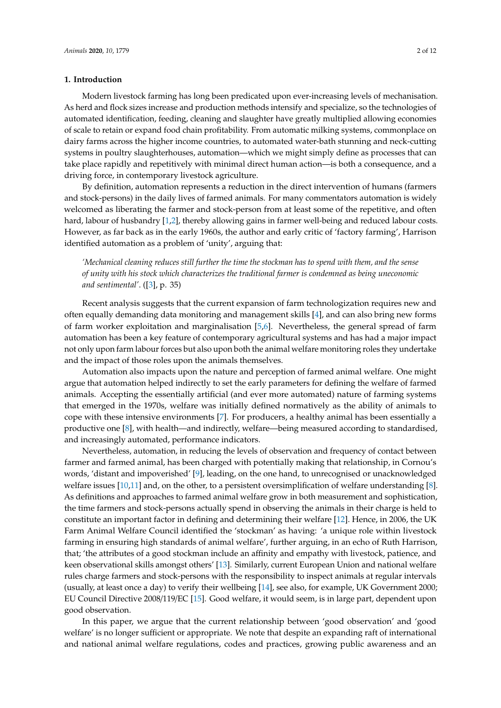# **1. Introduction**

Modern livestock farming has long been predicated upon ever-increasing levels of mechanisation. As herd and flock sizes increase and production methods intensify and specialize, so the technologies of automated identification, feeding, cleaning and slaughter have greatly multiplied allowing economies of scale to retain or expand food chain profitability. From automatic milking systems, commonplace on dairy farms across the higher income countries, to automated water-bath stunning and neck-cutting systems in poultry slaughterhouses, automation—which we might simply define as processes that can take place rapidly and repetitively with minimal direct human action—is both a consequence, and a driving force, in contemporary livestock agriculture.

By definition, automation represents a reduction in the direct intervention of humans (farmers and stock-persons) in the daily lives of farmed animals. For many commentators automation is widely welcomed as liberating the farmer and stock-person from at least some of the repetitive, and often hard, labour of husbandry [\[1](#page-8-0)[,2\]](#page-8-1), thereby allowing gains in farmer well-being and reduced labour costs. However, as far back as in the early 1960s, the author and early critic of 'factory farming', Harrison identified automation as a problem of 'unity', arguing that:

# *'Mechanical cleaning reduces still further the time the stockman has to spend with them, and the sense of unity with his stock which characterizes the traditional farmer is condemned as being uneconomic and sentimental'*. ([\[3\]](#page-8-2), p. 35)

Recent analysis suggests that the current expansion of farm technologization requires new and often equally demanding data monitoring and management skills [\[4\]](#page-8-3), and can also bring new forms of farm worker exploitation and marginalisation [\[5,](#page-8-4)[6\]](#page-8-5). Nevertheless, the general spread of farm automation has been a key feature of contemporary agricultural systems and has had a major impact not only upon farm labour forces but also upon both the animal welfare monitoring roles they undertake and the impact of those roles upon the animals themselves.

Automation also impacts upon the nature and perception of farmed animal welfare. One might argue that automation helped indirectly to set the early parameters for defining the welfare of farmed animals. Accepting the essentially artificial (and ever more automated) nature of farming systems that emerged in the 1970s, welfare was initially defined normatively as the ability of animals to cope with these intensive environments [\[7\]](#page-8-6). For producers, a healthy animal has been essentially a productive one [\[8\]](#page-8-7), with health—and indirectly, welfare—being measured according to standardised, and increasingly automated, performance indicators.

Nevertheless, automation, in reducing the levels of observation and frequency of contact between farmer and farmed animal, has been charged with potentially making that relationship, in Cornou's words, 'distant and impoverished' [\[9\]](#page-8-8), leading, on the one hand, to unrecognised or unacknowledged welfare issues [\[10,](#page-8-9)[11\]](#page-8-10) and, on the other, to a persistent oversimplification of welfare understanding [\[8\]](#page-8-7). As definitions and approaches to farmed animal welfare grow in both measurement and sophistication, the time farmers and stock-persons actually spend in observing the animals in their charge is held to constitute an important factor in defining and determining their welfare [\[12\]](#page-8-11). Hence, in 2006, the UK Farm Animal Welfare Council identified the 'stockman' as having: 'a unique role within livestock farming in ensuring high standards of animal welfare', further arguing, in an echo of Ruth Harrison, that; 'the attributes of a good stockman include an affinity and empathy with livestock, patience, and keen observational skills amongst others' [\[13\]](#page-8-12). Similarly, current European Union and national welfare rules charge farmers and stock-persons with the responsibility to inspect animals at regular intervals (usually, at least once a day) to verify their wellbeing [\[14\]](#page-8-13), see also, for example, UK Government 2000; EU Council Directive 2008/119/EC [\[15\]](#page-8-14). Good welfare, it would seem, is in large part, dependent upon good observation.

In this paper, we argue that the current relationship between 'good observation' and 'good welfare' is no longer sufficient or appropriate. We note that despite an expanding raft of international and national animal welfare regulations, codes and practices, growing public awareness and an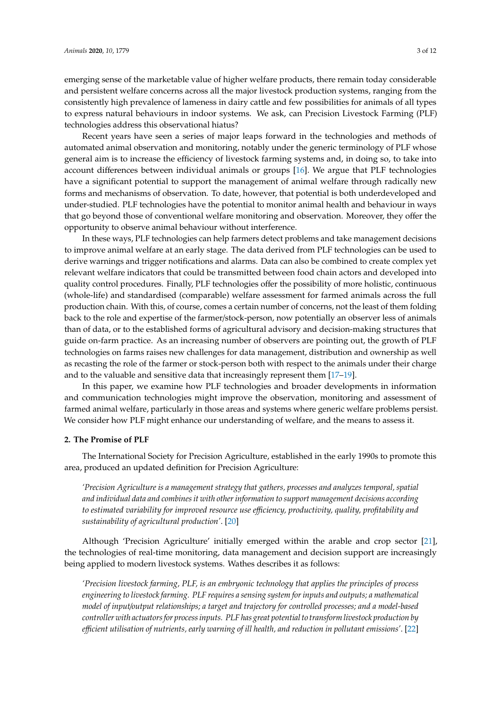emerging sense of the marketable value of higher welfare products, there remain today considerable and persistent welfare concerns across all the major livestock production systems, ranging from the consistently high prevalence of lameness in dairy cattle and few possibilities for animals of all types to express natural behaviours in indoor systems. We ask, can Precision Livestock Farming (PLF) technologies address this observational hiatus?

Recent years have seen a series of major leaps forward in the technologies and methods of automated animal observation and monitoring, notably under the generic terminology of PLF whose general aim is to increase the efficiency of livestock farming systems and, in doing so, to take into account differences between individual animals or groups [\[16\]](#page-9-0). We argue that PLF technologies have a significant potential to support the management of animal welfare through radically new forms and mechanisms of observation. To date, however, that potential is both underdeveloped and under-studied. PLF technologies have the potential to monitor animal health and behaviour in ways that go beyond those of conventional welfare monitoring and observation. Moreover, they offer the opportunity to observe animal behaviour without interference.

In these ways, PLF technologies can help farmers detect problems and take management decisions to improve animal welfare at an early stage. The data derived from PLF technologies can be used to derive warnings and trigger notifications and alarms. Data can also be combined to create complex yet relevant welfare indicators that could be transmitted between food chain actors and developed into quality control procedures. Finally, PLF technologies offer the possibility of more holistic, continuous (whole-life) and standardised (comparable) welfare assessment for farmed animals across the full production chain. With this, of course, comes a certain number of concerns, not the least of them folding back to the role and expertise of the farmer/stock-person, now potentially an observer less of animals than of data, or to the established forms of agricultural advisory and decision-making structures that guide on-farm practice. As an increasing number of observers are pointing out, the growth of PLF technologies on farms raises new challenges for data management, distribution and ownership as well as recasting the role of the farmer or stock-person both with respect to the animals under their charge and to the valuable and sensitive data that increasingly represent them [\[17](#page-9-1)[–19\]](#page-9-2).

In this paper, we examine how PLF technologies and broader developments in information and communication technologies might improve the observation, monitoring and assessment of farmed animal welfare, particularly in those areas and systems where generic welfare problems persist. We consider how PLF might enhance our understanding of welfare, and the means to assess it.

# **2. The Promise of PLF**

The International Society for Precision Agriculture, established in the early 1990s to promote this area, produced an updated definition for Precision Agriculture:

*'Precision Agriculture is a management strategy that gathers, processes and analyzes temporal, spatial and individual data and combines it with other information to support management decisions according to estimated variability for improved resource use e*ffi*ciency, productivity, quality, profitability and sustainability of agricultural production'*. [\[20\]](#page-9-3)

Although 'Precision Agriculture' initially emerged within the arable and crop sector [\[21\]](#page-9-4), the technologies of real-time monitoring, data management and decision support are increasingly being applied to modern livestock systems. Wathes describes it as follows:

*'Precision livestock farming, PLF, is an embryonic technology that applies the principles of process engineering to livestock farming. PLF requires a sensing system for inputs and outputs; a mathematical model of input*/*output relationships; a target and trajectory for controlled processes; and a model-based controller with actuators for process inputs. PLF has great potential to transform livestock production by e*ffi*cient utilisation of nutrients, early warning of ill health, and reduction in pollutant emissions'*. [\[22\]](#page-9-5)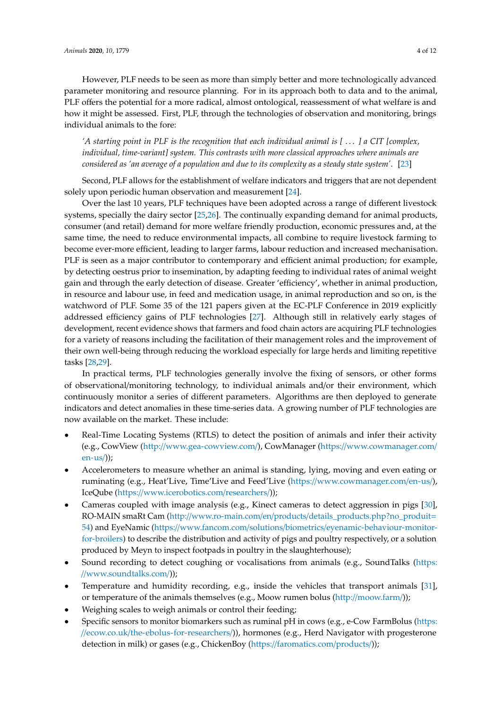However, PLF needs to be seen as more than simply better and more technologically advanced parameter monitoring and resource planning. For in its approach both to data and to the animal, PLF offers the potential for a more radical, almost ontological, reassessment of what welfare is and how it might be assessed. First, PLF, through the technologies of observation and monitoring, brings

individual animals to the fore:

*'A starting point in PLF is the recognition that each individual animal is [* . . . *] a CIT [complex, individual, time-variant] system. This contrasts with more classical approaches where animals are considered as 'an average of a population and due to its complexity as a steady state system'*. [\[23\]](#page-9-6)

Second, PLF allows for the establishment of welfare indicators and triggers that are not dependent solely upon periodic human observation and measurement [\[24\]](#page-9-7).

Over the last 10 years, PLF techniques have been adopted across a range of different livestock systems, specially the dairy sector [\[25,](#page-9-8)[26\]](#page-9-9). The continually expanding demand for animal products, consumer (and retail) demand for more welfare friendly production, economic pressures and, at the same time, the need to reduce environmental impacts, all combine to require livestock farming to become ever-more efficient, leading to larger farms, labour reduction and increased mechanisation. PLF is seen as a major contributor to contemporary and efficient animal production; for example, by detecting oestrus prior to insemination, by adapting feeding to individual rates of animal weight gain and through the early detection of disease. Greater 'efficiency', whether in animal production, in resource and labour use, in feed and medication usage, in animal reproduction and so on, is the watchword of PLF. Some 35 of the 121 papers given at the EC-PLF Conference in 2019 explicitly addressed efficiency gains of PLF technologies [\[27\]](#page-9-10). Although still in relatively early stages of development, recent evidence shows that farmers and food chain actors are acquiring PLF technologies for a variety of reasons including the facilitation of their management roles and the improvement of their own well-being through reducing the workload especially for large herds and limiting repetitive tasks [\[28,](#page-9-11)[29\]](#page-9-12).

In practical terms, PLF technologies generally involve the fixing of sensors, or other forms of observational/monitoring technology, to individual animals and/or their environment, which continuously monitor a series of different parameters. Algorithms are then deployed to generate indicators and detect anomalies in these time-series data. A growing number of PLF technologies are now available on the market. These include:

- Real-Time Locating Systems (RTLS) to detect the position of animals and infer their activity (e.g., CowView (http://[www.gea-cowview.com](http://www.gea-cowview.com/)/), CowManager (https://[www.cowmanager.com](https://www.cowmanager.com/en-us/)/ [en-us](https://www.cowmanager.com/en-us/)/));
- Accelerometers to measure whether an animal is standing, lying, moving and even eating or ruminating (e.g., Heat'Live, Time'Live and Feed'Live (https://[www.cowmanager.com](https://www.cowmanager.com/en-us/)/en-us/), IceQube (https://[www.icerobotics.com](https://www.icerobotics.com/researchers/)/researchers/));
- Cameras coupled with image analysis (e.g., Kinect cameras to detect aggression in pigs [\[30\]](#page-9-13), RO-MAIN smaRt Cam (http://www.ro-main.com/en/products/[details\\_products.php?no\\_produit](http://www.ro-main.com/en/products/details_products.php?no_produit=54)= [54\)](http://www.ro-main.com/en/products/details_products.php?no_produit=54) and EyeNamic (https://www.fancom.com/solutions/biometrics/[eyenamic-behaviour-monitor](https://www.fancom.com/solutions/biometrics/eyenamic-behaviour-monitor-for-broilers)[for-broilers\)](https://www.fancom.com/solutions/biometrics/eyenamic-behaviour-monitor-for-broilers) to describe the distribution and activity of pigs and poultry respectively, or a solution produced by Meyn to inspect footpads in poultry in the slaughterhouse);
- Sound recording to detect coughing or vocalisations from animals (e.g., SoundTalks [\(https:](https://www.soundtalks.com/) //[www.soundtalks.com](https://www.soundtalks.com/)/));
- Temperature and humidity recording, e.g., inside the vehicles that transport animals [\[31\]](#page-9-14), or temperature of the animals themselves (e.g., Moow rumen bolus (http://[moow.farm](http://moow.farm/)/));
- Weighing scales to weigh animals or control their feeding;
- Specific sensors to monitor biomarkers such as ruminal pH in cows (e.g., e-Cow FarmBolus [\(https:](https://ecow.co.uk/the-ebolus-for-researchers/) //ecow.co.uk/[the-ebolus-for-researchers](https://ecow.co.uk/the-ebolus-for-researchers/)/)), hormones (e.g., Herd Navigator with progesterone detection in milk) or gases (e.g., ChickenBoy (https://[faromatics.com](https://faromatics.com/products/)/products/));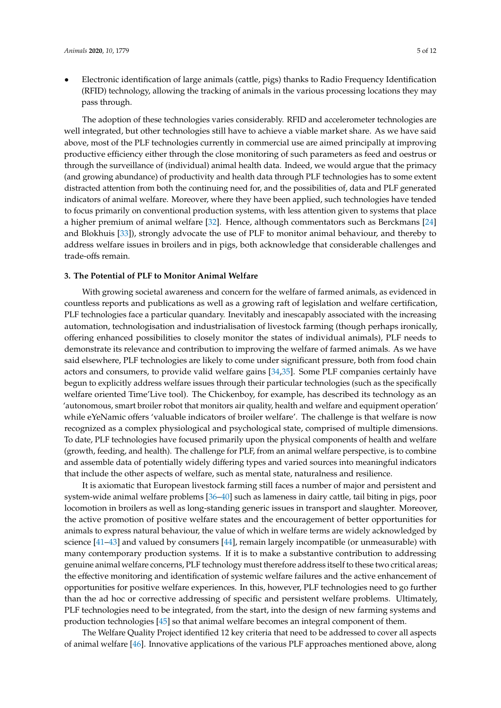- 
- Electronic identification of large animals (cattle, pigs) thanks to Radio Frequency Identification (RFID) technology, allowing the tracking of animals in the various processing locations they may pass through.

The adoption of these technologies varies considerably. RFID and accelerometer technologies are well integrated, but other technologies still have to achieve a viable market share. As we have said above, most of the PLF technologies currently in commercial use are aimed principally at improving productive efficiency either through the close monitoring of such parameters as feed and oestrus or through the surveillance of (individual) animal health data. Indeed, we would argue that the primacy (and growing abundance) of productivity and health data through PLF technologies has to some extent distracted attention from both the continuing need for, and the possibilities of, data and PLF generated indicators of animal welfare. Moreover, where they have been applied, such technologies have tended to focus primarily on conventional production systems, with less attention given to systems that place a higher premium of animal welfare [\[32\]](#page-9-15). Hence, although commentators such as Berckmans [\[24\]](#page-9-7) and Blokhuis [\[33\]](#page-9-16)), strongly advocate the use of PLF to monitor animal behaviour, and thereby to address welfare issues in broilers and in pigs, both acknowledge that considerable challenges and trade-offs remain.

### **3. The Potential of PLF to Monitor Animal Welfare**

With growing societal awareness and concern for the welfare of farmed animals, as evidenced in countless reports and publications as well as a growing raft of legislation and welfare certification, PLF technologies face a particular quandary. Inevitably and inescapably associated with the increasing automation, technologisation and industrialisation of livestock farming (though perhaps ironically, offering enhanced possibilities to closely monitor the states of individual animals), PLF needs to demonstrate its relevance and contribution to improving the welfare of farmed animals. As we have said elsewhere, PLF technologies are likely to come under significant pressure, both from food chain actors and consumers, to provide valid welfare gains [\[34](#page-9-17)[,35\]](#page-9-18). Some PLF companies certainly have begun to explicitly address welfare issues through their particular technologies (such as the specifically welfare oriented Time'Live tool). The Chickenboy, for example, has described its technology as an 'autonomous, smart broiler robot that monitors air quality, health and welfare and equipment operation' while eYeNamic offers 'valuable indicators of broiler welfare'. The challenge is that welfare is now recognized as a complex physiological and psychological state, comprised of multiple dimensions. To date, PLF technologies have focused primarily upon the physical components of health and welfare (growth, feeding, and health). The challenge for PLF, from an animal welfare perspective, is to combine and assemble data of potentially widely differing types and varied sources into meaningful indicators that include the other aspects of welfare, such as mental state, naturalness and resilience.

It is axiomatic that European livestock farming still faces a number of major and persistent and system-wide animal welfare problems [\[36–](#page-9-19)[40\]](#page-10-0) such as lameness in dairy cattle, tail biting in pigs, poor locomotion in broilers as well as long-standing generic issues in transport and slaughter. Moreover, the active promotion of positive welfare states and the encouragement of better opportunities for animals to express natural behaviour, the value of which in welfare terms are widely acknowledged by science [\[41](#page-10-1)[–43\]](#page-10-2) and valued by consumers [\[44\]](#page-10-3), remain largely incompatible (or unmeasurable) with many contemporary production systems. If it is to make a substantive contribution to addressing genuine animal welfare concerns, PLF technology must therefore address itself to these two critical areas; the effective monitoring and identification of systemic welfare failures and the active enhancement of opportunities for positive welfare experiences. In this, however, PLF technologies need to go further than the ad hoc or corrective addressing of specific and persistent welfare problems. Ultimately, PLF technologies need to be integrated, from the start, into the design of new farming systems and production technologies [\[45\]](#page-10-4) so that animal welfare becomes an integral component of them.

The Welfare Quality Project identified 12 key criteria that need to be addressed to cover all aspects of animal welfare [\[46\]](#page-10-5). Innovative applications of the various PLF approaches mentioned above, along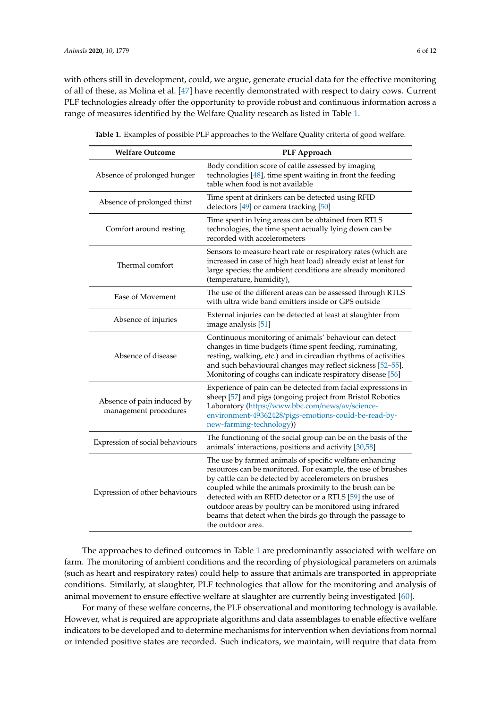with others still in development, could, we argue, generate crucial data for the effective monitoring of all of these, as Molina et al. [\[47\]](#page-10-6) have recently demonstrated with respect to dairy cows. Current PLF technologies already offer the opportunity to provide robust and continuous information across a range of measures identified by the Welfare Quality research as listed in Table [1.](#page-5-0)

| <b>Welfare Outcome</b>                              | <b>PLF Approach</b>                                                                                                                                                                                                                                                                                                                                                                                                                                    |
|-----------------------------------------------------|--------------------------------------------------------------------------------------------------------------------------------------------------------------------------------------------------------------------------------------------------------------------------------------------------------------------------------------------------------------------------------------------------------------------------------------------------------|
| Absence of prolonged hunger                         | Body condition score of cattle assessed by imaging<br>technologies [48], time spent waiting in front the feeding<br>table when food is not available                                                                                                                                                                                                                                                                                                   |
| Absence of prolonged thirst                         | Time spent at drinkers can be detected using RFID<br>detectors $[49]$ or camera tracking $[50]$                                                                                                                                                                                                                                                                                                                                                        |
| Comfort around resting                              | Time spent in lying areas can be obtained from RTLS<br>technologies, the time spent actually lying down can be<br>recorded with accelerometers                                                                                                                                                                                                                                                                                                         |
| Thermal comfort                                     | Sensors to measure heart rate or respiratory rates (which are<br>increased in case of high heat load) already exist at least for<br>large species; the ambient conditions are already monitored<br>(temperature, humidity),                                                                                                                                                                                                                            |
| Ease of Movement                                    | The use of the different areas can be assessed through RTLS<br>with ultra wide band emitters inside or GPS outside                                                                                                                                                                                                                                                                                                                                     |
| Absence of injuries                                 | External injuries can be detected at least at slaughter from<br>image analysis [51]                                                                                                                                                                                                                                                                                                                                                                    |
| Absence of disease                                  | Continuous monitoring of animals' behaviour can detect<br>changes in time budgets (time spent feeding, ruminating,<br>resting, walking, etc.) and in circadian rhythms of activities<br>and such behavioural changes may reflect sickness [52-55].<br>Monitoring of coughs can indicate respiratory disease [56]                                                                                                                                       |
| Absence of pain induced by<br>management procedures | Experience of pain can be detected from facial expressions in<br>sheep [57] and pigs (ongoing project from Bristol Robotics<br>Laboratory (https://www.bbc.com/news/av/science-<br>environment-49362428/pigs-emotions-could-be-read-by-<br>new-farming-technology))                                                                                                                                                                                    |
| Expression of social behaviours                     | The functioning of the social group can be on the basis of the<br>animals' interactions, positions and activity [30,58]                                                                                                                                                                                                                                                                                                                                |
| Expression of other behaviours                      | The use by farmed animals of specific welfare enhancing<br>resources can be monitored. For example, the use of brushes<br>by cattle can be detected by accelerometers on brushes<br>coupled while the animals proximity to the brush can be<br>detected with an RFID detector or a RTLS [59] the use of<br>outdoor areas by poultry can be monitored using infrared<br>beams that detect when the birds go through the passage to<br>the outdoor area. |

<span id="page-5-0"></span>**Table 1.** Examples of possible PLF approaches to the Welfare Quality criteria of good welfare.

The approaches to defined outcomes in Table [1](#page-5-0) are predominantly associated with welfare on farm. The monitoring of ambient conditions and the recording of physiological parameters on animals (such as heart and respiratory rates) could help to assure that animals are transported in appropriate conditions. Similarly, at slaughter, PLF technologies that allow for the monitoring and analysis of animal movement to ensure effective welfare at slaughter are currently being investigated [\[60\]](#page-11-2).

For many of these welfare concerns, the PLF observational and monitoring technology is available. However, what is required are appropriate algorithms and data assemblages to enable effective welfare indicators to be developed and to determine mechanisms for intervention when deviations from normal or intended positive states are recorded. Such indicators, we maintain, will require that data from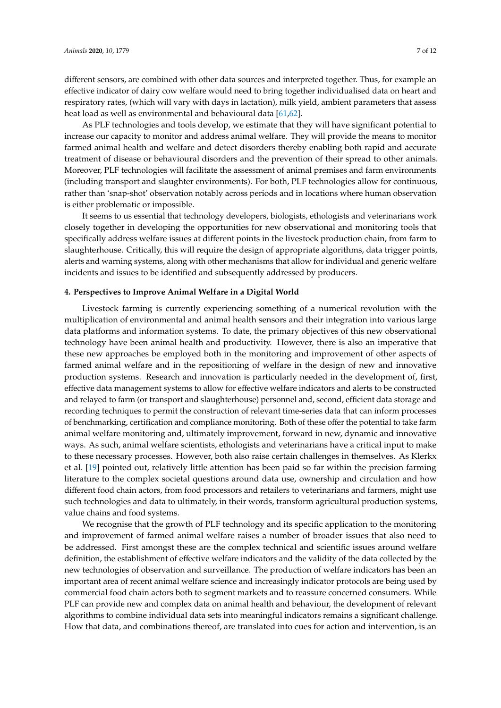different sensors, are combined with other data sources and interpreted together. Thus, for example an effective indicator of dairy cow welfare would need to bring together individualised data on heart and respiratory rates, (which will vary with days in lactation), milk yield, ambient parameters that assess heat load as well as environmental and behavioural data [\[61](#page-11-3)[,62\]](#page-11-4).

As PLF technologies and tools develop, we estimate that they will have significant potential to increase our capacity to monitor and address animal welfare. They will provide the means to monitor farmed animal health and welfare and detect disorders thereby enabling both rapid and accurate treatment of disease or behavioural disorders and the prevention of their spread to other animals. Moreover, PLF technologies will facilitate the assessment of animal premises and farm environments (including transport and slaughter environments). For both, PLF technologies allow for continuous, rather than 'snap-shot' observation notably across periods and in locations where human observation is either problematic or impossible.

It seems to us essential that technology developers, biologists, ethologists and veterinarians work closely together in developing the opportunities for new observational and monitoring tools that specifically address welfare issues at different points in the livestock production chain, from farm to slaughterhouse. Critically, this will require the design of appropriate algorithms, data trigger points, alerts and warning systems, along with other mechanisms that allow for individual and generic welfare incidents and issues to be identified and subsequently addressed by producers.

#### **4. Perspectives to Improve Animal Welfare in a Digital World**

Livestock farming is currently experiencing something of a numerical revolution with the multiplication of environmental and animal health sensors and their integration into various large data platforms and information systems. To date, the primary objectives of this new observational technology have been animal health and productivity. However, there is also an imperative that these new approaches be employed both in the monitoring and improvement of other aspects of farmed animal welfare and in the repositioning of welfare in the design of new and innovative production systems. Research and innovation is particularly needed in the development of, first, effective data management systems to allow for effective welfare indicators and alerts to be constructed and relayed to farm (or transport and slaughterhouse) personnel and, second, efficient data storage and recording techniques to permit the construction of relevant time-series data that can inform processes of benchmarking, certification and compliance monitoring. Both of these offer the potential to take farm animal welfare monitoring and, ultimately improvement, forward in new, dynamic and innovative ways. As such, animal welfare scientists, ethologists and veterinarians have a critical input to make to these necessary processes. However, both also raise certain challenges in themselves. As Klerkx et al. [\[19\]](#page-9-2) pointed out, relatively little attention has been paid so far within the precision farming literature to the complex societal questions around data use, ownership and circulation and how different food chain actors, from food processors and retailers to veterinarians and farmers, might use such technologies and data to ultimately, in their words, transform agricultural production systems, value chains and food systems.

We recognise that the growth of PLF technology and its specific application to the monitoring and improvement of farmed animal welfare raises a number of broader issues that also need to be addressed. First amongst these are the complex technical and scientific issues around welfare definition, the establishment of effective welfare indicators and the validity of the data collected by the new technologies of observation and surveillance. The production of welfare indicators has been an important area of recent animal welfare science and increasingly indicator protocols are being used by commercial food chain actors both to segment markets and to reassure concerned consumers. While PLF can provide new and complex data on animal health and behaviour, the development of relevant algorithms to combine individual data sets into meaningful indicators remains a significant challenge. How that data, and combinations thereof, are translated into cues for action and intervention, is an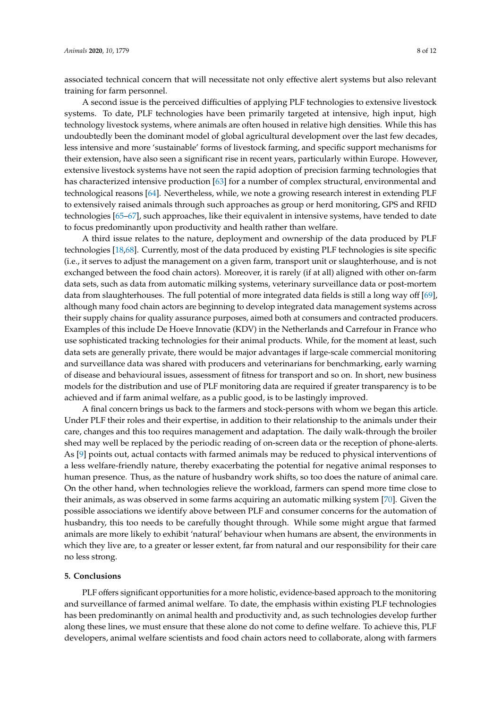associated technical concern that will necessitate not only effective alert systems but also relevant training for farm personnel.

A second issue is the perceived difficulties of applying PLF technologies to extensive livestock systems. To date, PLF technologies have been primarily targeted at intensive, high input, high technology livestock systems, where animals are often housed in relative high densities. While this has undoubtedly been the dominant model of global agricultural development over the last few decades, less intensive and more 'sustainable' forms of livestock farming, and specific support mechanisms for their extension, have also seen a significant rise in recent years, particularly within Europe. However, extensive livestock systems have not seen the rapid adoption of precision farming technologies that has characterized intensive production [\[63\]](#page-11-5) for a number of complex structural, environmental and technological reasons [\[64\]](#page-11-6). Nevertheless, while, we note a growing research interest in extending PLF to extensively raised animals through such approaches as group or herd monitoring, GPS and RFID technologies [\[65](#page-11-7)[–67\]](#page-11-8), such approaches, like their equivalent in intensive systems, have tended to date to focus predominantly upon productivity and health rather than welfare.

A third issue relates to the nature, deployment and ownership of the data produced by PLF technologies [\[18](#page-9-20)[,68\]](#page-11-9). Currently, most of the data produced by existing PLF technologies is site specific (i.e., it serves to adjust the management on a given farm, transport unit or slaughterhouse, and is not exchanged between the food chain actors). Moreover, it is rarely (if at all) aligned with other on-farm data sets, such as data from automatic milking systems, veterinary surveillance data or post-mortem data from slaughterhouses. The full potential of more integrated data fields is still a long way off [\[69\]](#page-11-10), although many food chain actors are beginning to develop integrated data management systems across their supply chains for quality assurance purposes, aimed both at consumers and contracted producers. Examples of this include De Hoeve Innovatie (KDV) in the Netherlands and Carrefour in France who use sophisticated tracking technologies for their animal products. While, for the moment at least, such data sets are generally private, there would be major advantages if large-scale commercial monitoring and surveillance data was shared with producers and veterinarians for benchmarking, early warning of disease and behavioural issues, assessment of fitness for transport and so on. In short, new business models for the distribution and use of PLF monitoring data are required if greater transparency is to be achieved and if farm animal welfare, as a public good, is to be lastingly improved.

A final concern brings us back to the farmers and stock-persons with whom we began this article. Under PLF their roles and their expertise, in addition to their relationship to the animals under their care, changes and this too requires management and adaptation. The daily walk-through the broiler shed may well be replaced by the periodic reading of on-screen data or the reception of phone-alerts. As [\[9\]](#page-8-8) points out, actual contacts with farmed animals may be reduced to physical interventions of a less welfare-friendly nature, thereby exacerbating the potential for negative animal responses to human presence. Thus, as the nature of husbandry work shifts, so too does the nature of animal care. On the other hand, when technologies relieve the workload, farmers can spend more time close to their animals, as was observed in some farms acquiring an automatic milking system [\[70\]](#page-11-11). Given the possible associations we identify above between PLF and consumer concerns for the automation of husbandry, this too needs to be carefully thought through. While some might argue that farmed animals are more likely to exhibit 'natural' behaviour when humans are absent, the environments in which they live are, to a greater or lesser extent, far from natural and our responsibility for their care no less strong.

# **5. Conclusions**

PLF offers significant opportunities for a more holistic, evidence-based approach to the monitoring and surveillance of farmed animal welfare. To date, the emphasis within existing PLF technologies has been predominantly on animal health and productivity and, as such technologies develop further along these lines, we must ensure that these alone do not come to define welfare. To achieve this, PLF developers, animal welfare scientists and food chain actors need to collaborate, along with farmers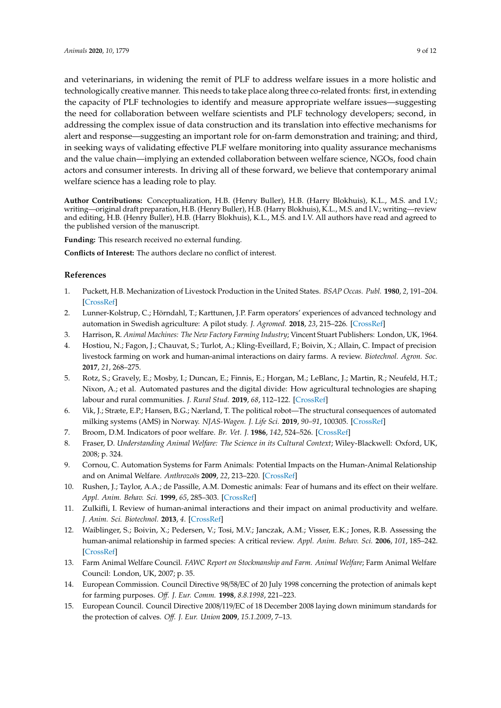and veterinarians, in widening the remit of PLF to address welfare issues in a more holistic and technologically creative manner. This needs to take place along three co-related fronts: first, in extending the capacity of PLF technologies to identify and measure appropriate welfare issues—suggesting the need for collaboration between welfare scientists and PLF technology developers; second, in addressing the complex issue of data construction and its translation into effective mechanisms for alert and response—suggesting an important role for on-farm demonstration and training; and third, in seeking ways of validating effective PLF welfare monitoring into quality assurance mechanisms and the value chain—implying an extended collaboration between welfare science, NGOs, food chain actors and consumer interests. In driving all of these forward, we believe that contemporary animal welfare science has a leading role to play.

**Author Contributions:** Conceptualization, H.B. (Henry Buller), H.B. (Harry Blokhuis), K.L., M.S. and I.V.; writing—original draft preparation, H.B. (Henry Buller), H.B. (Harry Blokhuis), K.L., M.S. and I.V.; writing—review and editing, H.B. (Henry Buller), H.B. (Harry Blokhuis), K.L., M.S. and I.V. All authors have read and agreed to the published version of the manuscript.

**Funding:** This research received no external funding.

**Conflicts of Interest:** The authors declare no conflict of interest.

# **References**

- <span id="page-8-0"></span>1. Puckett, H.B. Mechanization of Livestock Production in the United States. *BSAP Occas. Publ.* **1980**, *2*, 191–204. [\[CrossRef\]](http://dx.doi.org/10.1017/S0263967X00000380)
- <span id="page-8-1"></span>2. Lunner-Kolstrup, C.; Hörndahl, T.; Karttunen, J.P. Farm operators' experiences of advanced technology and automation in Swedish agriculture: A pilot study. *J. Agromed.* **2018**, *23*, 215–226. [\[CrossRef\]](http://dx.doi.org/10.1080/1059924X.2018.1458670)
- <span id="page-8-2"></span>3. Harrison, R. *Animal Machines: The New Factory Farming Industry*; Vincent Stuart Publishers: London, UK, 1964.
- <span id="page-8-3"></span>4. Hostiou, N.; Fagon, J.; Chauvat, S.; Turlot, A.; Kling-Eveillard, F.; Boivin, X.; Allain, C. Impact of precision livestock farming on work and human-animal interactions on dairy farms. A review. *Biotechnol. Agron. Soc.* **2017**, *21*, 268–275.
- <span id="page-8-4"></span>5. Rotz, S.; Gravely, E.; Mosby, I.; Duncan, E.; Finnis, E.; Horgan, M.; LeBlanc, J.; Martin, R.; Neufeld, H.T.; Nixon, A.; et al. Automated pastures and the digital divide: How agricultural technologies are shaping labour and rural communities. *J. Rural Stud.* **2019**, *68*, 112–122. [\[CrossRef\]](http://dx.doi.org/10.1016/j.jrurstud.2019.01.023)
- <span id="page-8-5"></span>6. Vik, J.; Stræte, E.P.; Hansen, B.G.; Nærland, T. The political robot—The structural consequences of automated milking systems (AMS) in Norway. *NJAS-Wagen. J. Life Sci.* **2019**, *90–91*, 100305. [\[CrossRef\]](http://dx.doi.org/10.1016/j.njas.2019.100305)
- <span id="page-8-6"></span>7. Broom, D.M. Indicators of poor welfare. *Br. Vet. J.* **1986**, *142*, 524–526. [\[CrossRef\]](http://dx.doi.org/10.1016/0007-1935(86)90109-0)
- <span id="page-8-7"></span>8. Fraser, D. *Understanding Animal Welfare: The Science in its Cultural Context*; Wiley-Blackwell: Oxford, UK, 2008; p. 324.
- <span id="page-8-8"></span>9. Cornou, C. Automation Systems for Farm Animals: Potential Impacts on the Human-Animal Relationship and on Animal Welfare. *Anthrozoös* **2009**, *22*, 213–220. [\[CrossRef\]](http://dx.doi.org/10.2752/175303709X457568)
- <span id="page-8-9"></span>10. Rushen, J.; Taylor, A.A.; de Passille, A.M. Domestic animals: Fear of humans and its effect on their welfare. *Appl. Anim. Behav. Sci.* **1999**, *65*, 285–303. [\[CrossRef\]](http://dx.doi.org/10.1016/S0168-1591(99)00089-1)
- <span id="page-8-10"></span>11. Zulkifli, I. Review of human-animal interactions and their impact on animal productivity and welfare. *J. Anim. Sci. Biotechnol.* **2013**, *4*. [\[CrossRef\]](http://dx.doi.org/10.1186/2049-1891-4-25)
- <span id="page-8-11"></span>12. Waiblinger, S.; Boivin, X.; Pedersen, V.; Tosi, M.V.; Janczak, A.M.; Visser, E.K.; Jones, R.B. Assessing the human-animal relationship in farmed species: A critical review. *Appl. Anim. Behav. Sci.* **2006**, *101*, 185–242. [\[CrossRef\]](http://dx.doi.org/10.1016/j.applanim.2006.02.001)
- <span id="page-8-12"></span>13. Farm Animal Welfare Council. *FAWC Report on Stockmanship and Farm. Animal Welfare*; Farm Animal Welfare Council: London, UK, 2007; p. 35.
- <span id="page-8-13"></span>14. European Commission. Council Directive 98/58/EC of 20 July 1998 concerning the protection of animals kept for farming purposes. *O*ff*. J. Eur. Comm.* **1998**, *8.8.1998*, 221–223.
- <span id="page-8-14"></span>15. European Council. Council Directive 2008/119/EC of 18 December 2008 laying down minimum standards for the protection of calves. *O*ff*. J. Eur. Union* **2009**, *15.1.2009*, 7–13.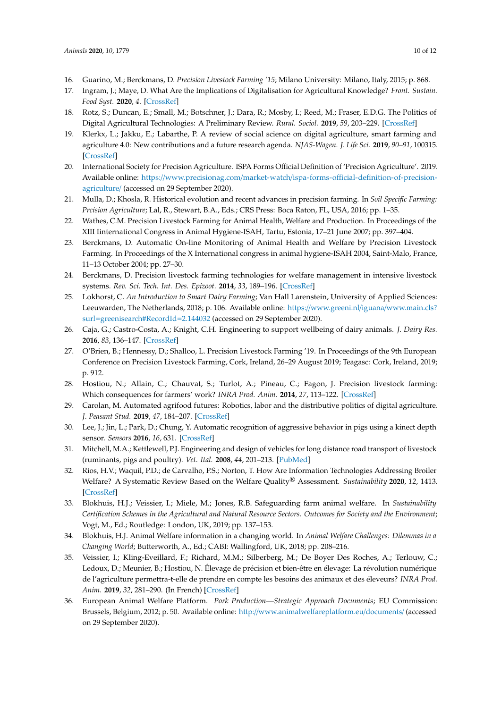- <span id="page-9-0"></span>16. Guarino, M.; Berckmans, D. *Precision Livestock Farming '15*; Milano University: Milano, Italy, 2015; p. 868.
- <span id="page-9-1"></span>17. Ingram, J.; Maye, D. What Are the Implications of Digitalisation for Agricultural Knowledge? *Front. Sustain. Food Syst.* **2020**, *4*. [\[CrossRef\]](http://dx.doi.org/10.3389/fsufs.2020.00066)
- <span id="page-9-20"></span>18. Rotz, S.; Duncan, E.; Small, M.; Botschner, J.; Dara, R.; Mosby, I.; Reed, M.; Fraser, E.D.G. The Politics of Digital Agricultural Technologies: A Preliminary Review. *Rural. Sociol.* **2019**, *59*, 203–229. [\[CrossRef\]](http://dx.doi.org/10.1111/soru.12233)
- <span id="page-9-2"></span>19. Klerkx, L.; Jakku, E.; Labarthe, P. A review of social science on digital agriculture, smart farming and agriculture 4.0: New contributions and a future research agenda. *NJAS-Wagen. J. Life Sci.* **2019**, *90–91*, 100315. [\[CrossRef\]](http://dx.doi.org/10.1016/j.njas.2019.100315)
- <span id="page-9-3"></span>20. International Society for Precision Agriculture. ISPA Forms Official Definition of 'Precision Agriculture'. 2019. Available online: https://www.precisionag.com/market-watch/ispa-forms-offi[cial-definition-of-precision](https://www.precisionag.com/market-watch/ispa-forms-official-definition-of-precision-agriculture/)[agriculture](https://www.precisionag.com/market-watch/ispa-forms-official-definition-of-precision-agriculture/)/ (accessed on 29 September 2020).
- <span id="page-9-4"></span>21. Mulla, D.; Khosla, R. Historical evolution and recent advances in precision farming. In *Soil Specific Farming: Prcision Agriculture*; Lal, R., Stewart, B.A., Eds.; CRS Press: Boca Raton, FL, USA, 2016; pp. 1–35.
- <span id="page-9-5"></span>22. Wathes, C.M. Precision Livestock Farming for Animal Health, Welfare and Production. In Proceedings of the XIII Iinternational Congress in Animal Hygiene-ISAH, Tartu, Estonia, 17–21 June 2007; pp. 397–404.
- <span id="page-9-6"></span>23. Berckmans, D. Automatic On-line Monitoring of Animal Health and Welfare by Precision Livestock Farming. In Proceedings of the X International congress in animal hygiene-ISAH 2004, Saint-Malo, France, 11–13 October 2004; pp. 27–30.
- <span id="page-9-7"></span>24. Berckmans, D. Precision livestock farming technologies for welfare management in intensive livestock systems. *Rev. Sci. Tech. Int. Des. Epizoot.* **2014**, *33*, 189–196. [\[CrossRef\]](http://dx.doi.org/10.20506/rst.33.1.2273)
- <span id="page-9-8"></span>25. Lokhorst, C. *An Introduction to Smart Dairy Farming*; Van Hall Larenstein, University of Applied Sciences: Leeuwarden, The Netherlands, 2018; p. 106. Available online: https://www.greeni.nl/iguana/[www.main.cls?](https://www.greeni.nl/iguana/www.main.cls?surl=greenisearch#RecordId=2.144032) surl=[greenisearch#RecordId](https://www.greeni.nl/iguana/www.main.cls?surl=greenisearch#RecordId=2.144032)=2.144032 (accessed on 29 September 2020).
- <span id="page-9-9"></span>26. Caja, G.; Castro-Costa, A.; Knight, C.H. Engineering to support wellbeing of dairy animals. *J. Dairy Res.* **2016**, *83*, 136–147. [\[CrossRef\]](http://dx.doi.org/10.1017/S0022029916000261)
- <span id="page-9-10"></span>27. O'Brien, B.; Hennessy, D.; Shalloo, L. Precision Livestock Farming '19. In Proceedings of the 9th European Conference on Precision Livestock Farming, Cork, Ireland, 26–29 August 2019; Teagasc: Cork, Ireland, 2019; p. 912.
- <span id="page-9-11"></span>28. Hostiou, N.; Allain, C.; Chauvat, S.; Turlot, A.; Pineau, C.; Fagon, J. Precision livestock farming: Which consequences for farmers' work? *INRA Prod. Anim.* **2014**, *27*, 113–122. [\[CrossRef\]](http://dx.doi.org/10.20870/productions-animales.2014.27.2.3059)
- <span id="page-9-12"></span>29. Carolan, M. Automated agrifood futures: Robotics, labor and the distributive politics of digital agriculture. *J. Peasant Stud.* **2019**, *47*, 184–207. [\[CrossRef\]](http://dx.doi.org/10.1080/03066150.2019.1584189)
- <span id="page-9-13"></span>30. Lee, J.; Jin, L.; Park, D.; Chung, Y. Automatic recognition of aggressive behavior in pigs using a kinect depth sensor. *Sensors* **2016**, *16*, 631. [\[CrossRef\]](http://dx.doi.org/10.3390/s16050631)
- <span id="page-9-14"></span>31. Mitchell, M.A.; Kettlewell, P.J. Engineering and design of vehicles for long distance road transport of livestock (ruminants, pigs and poultry). *Vet. Ital.* **2008**, *44*, 201–213. [\[PubMed\]](http://www.ncbi.nlm.nih.gov/pubmed/20405426)
- <span id="page-9-15"></span>32. Rios, H.V.; Waquil, P.D.; de Carvalho, P.S.; Norton, T. How Are Information Technologies Addressing Broiler Welfare? A Systematic Review Based on the Welfare Quality® Assessment. *Sustainability* **2020**, *12*, 1413. [\[CrossRef\]](http://dx.doi.org/10.3390/su12041413)
- <span id="page-9-16"></span>33. Blokhuis, H.J.; Veissier, I.; Miele, M.; Jones, R.B. Safeguarding farm animal welfare. In *Sustainability Certification Schemes in the Agricultural and Natural Resource Sectors. Outcomes for Society and the Environment*; Vogt, M., Ed.; Routledge: London, UK, 2019; pp. 137–153.
- <span id="page-9-17"></span>34. Blokhuis, H.J. Animal Welfare information in a changing world. In *Animal Welfare Challenges: Dilemmas in a Changing World*; Butterworth, A., Ed.; CABI: Wallingford, UK, 2018; pp. 208–216.
- <span id="page-9-18"></span>35. Veissier, I.; Kling-Eveillard, F.; Richard, M.M.; Silberberg, M.; De Boyer Des Roches, A.; Terlouw, C.; Ledoux, D.; Meunier, B.; Hostiou, N. Élevage de précision et bien-être en élevage: La révolution numérique de l'agriculture permettra-t-elle de prendre en compte les besoins des animaux et des éleveurs? *INRA Prod. Anim.* **2019**, *32*, 281–290. (In French) [\[CrossRef\]](http://dx.doi.org/10.20870/productions-animales.2019.32.2.2478)
- <span id="page-9-19"></span>36. European Animal Welfare Platform. *Pork Production—Strategic Approach Documents*; EU Commission: Brussels, Belgium, 2012; p. 50. Available online: http://[www.animalwelfareplatform.eu](http://www.animalwelfareplatform.eu/documents/)/documents/ (accessed on 29 September 2020).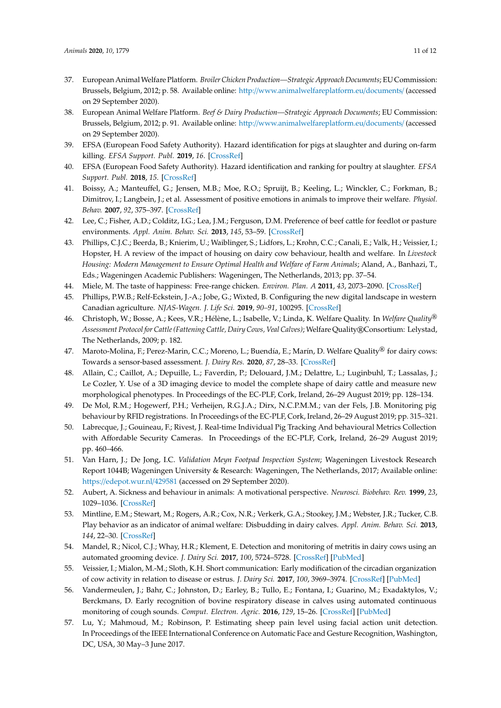- 37. European AnimalWelfare Platform. *Broiler Chicken Production—Strategic Approach Documents*; EU Commission: Brussels, Belgium, 2012; p. 58. Available online: http://[www.animalwelfareplatform.eu](http://www.animalwelfareplatform.eu/documents/)/documents/ (accessed on 29 September 2020).
- 38. European Animal Welfare Platform. *Beef & Dairy Production—Strategic Approach Documents*; EU Commission: Brussels, Belgium, 2012; p. 91. Available online: http://[www.animalwelfareplatform.eu](http://www.animalwelfareplatform.eu/documents/)/documents/ (accessed on 29 September 2020).
- 39. EFSA (European Food Safety Authority). Hazard identification for pigs at slaughter and during on-farm killing. *EFSA Support. Publ.* **2019**, *16*. [\[CrossRef\]](http://dx.doi.org/10.2903/sp.efsa.2019.EN-1684)
- <span id="page-10-0"></span>40. EFSA (European Food Safety Authority). Hazard identification and ranking for poultry at slaughter. *EFSA Support. Publ.* **2018**, *15*. [\[CrossRef\]](http://dx.doi.org/10.2903/sp.efsa.2018.EN-1519)
- <span id="page-10-1"></span>41. Boissy, A.; Manteuffel, G.; Jensen, M.B.; Moe, R.O.; Spruijt, B.; Keeling, L.; Winckler, C.; Forkman, B.; Dimitrov, I.; Langbein, J.; et al. Assessment of positive emotions in animals to improve their welfare. *Physiol. Behav.* **2007**, *92*, 375–397. [\[CrossRef\]](http://dx.doi.org/10.1016/j.physbeh.2007.02.003)
- 42. Lee, C.; Fisher, A.D.; Colditz, I.G.; Lea, J.M.; Ferguson, D.M. Preference of beef cattle for feedlot or pasture environments. *Appl. Anim. Behav. Sci.* **2013**, *145*, 53–59. [\[CrossRef\]](http://dx.doi.org/10.1016/j.applanim.2013.03.005)
- <span id="page-10-2"></span>43. Phillips, C.J.C.; Beerda, B.; Knierim, U.; Waiblinger, S.; Lidfors, L.; Krohn, C.C.; Canali, E.; Valk, H.; Veissier, I.; Hopster, H. A review of the impact of housing on dairy cow behaviour, health and welfare. In *Livestock Housing: Modern Management to Ensure Optimal Health and Welfare of Farm Animals*; Aland, A., Banhazi, T., Eds.; Wageningen Academic Publishers: Wageningen, The Netherlands, 2013; pp. 37–54.
- <span id="page-10-3"></span>44. Miele, M. The taste of happiness: Free-range chicken. *Environ. Plan. A* **2011**, *43*, 2073–2090. [\[CrossRef\]](http://dx.doi.org/10.1068/a43257)
- <span id="page-10-4"></span>45. Phillips, P.W.B.; Relf-Eckstein, J.-A.; Jobe, G.; Wixted, B. Configuring the new digital landscape in western Canadian agriculture. *NJAS-Wagen. J. Life Sci.* **2019**, *90–91*, 100295. [\[CrossRef\]](http://dx.doi.org/10.1016/j.njas.2019.04.001)
- <span id="page-10-5"></span>46. Christoph, W.; Bosse, A.; Kees, V.R.; Hélène, L.; Isabelle, V.; Linda, K. Welfare Quality. In *Welfare Quality*® *Assessment Protocol for Cattle (Fattening Cattle, Dairy Cows, Veal Calves)*; Welfare Quality®Consortium: Lelystad, The Netherlands, 2009; p. 182.
- <span id="page-10-6"></span>47. Maroto-Molina, F.; Perez-Marin, C.C.; Moreno, L.; Buendía, E.; Marín, D. Welfare Quality® for dairy cows: Towards a sensor-based assessment. *J. Dairy Res.* **2020**, *87*, 28–33. [\[CrossRef\]](http://dx.doi.org/10.1017/S002202992000045X)
- <span id="page-10-7"></span>48. Allain, C.; Caillot, A.; Depuille, L.; Faverdin, P.; Delouard, J.M.; Delattre, L.; Luginbuhl, T.; Lassalas, J.; Le Cozler, Y. Use of a 3D imaging device to model the complete shape of dairy cattle and measure new morphological phenotypes. In Proceedings of the EC-PLF, Cork, Ireland, 26–29 August 2019; pp. 128–134.
- <span id="page-10-8"></span>49. De Mol, R.M.; Hogewerf, P.H.; Verheijen, R.G.J.A.; Dirx, N.C.P.M.M.; van der Fels, J.B. Monitoring pig behaviour by RFID registrations. In Proceedings of the EC-PLF, Cork, Ireland, 26–29 August 2019; pp. 315–321.
- <span id="page-10-9"></span>50. Labrecque, J.; Gouineau, F.; Rivest, J. Real-time Individual Pig Tracking And behavioural Metrics Collection with Affordable Security Cameras. In Proceedings of the EC-PLF, Cork, Ireland, 26–29 August 2019; pp. 460–466.
- <span id="page-10-10"></span>51. Van Harn, J.; De Jong, I.C. *Validation Meyn Footpad Inspection System*; Wageningen Livestock Research Report 1044B; Wageningen University & Research: Wageningen, The Netherlands, 2017; Available online: https://[edepot.wur.nl](https://edepot.wur.nl/429581)/429581 (accessed on 29 September 2020).
- <span id="page-10-11"></span>52. Aubert, A. Sickness and behaviour in animals: A motivational perspective. *Neurosci. Biobehav. Rev.* **1999**, *23*, 1029–1036. [\[CrossRef\]](http://dx.doi.org/10.1016/S0149-7634(99)00034-2)
- 53. Mintline, E.M.; Stewart, M.; Rogers, A.R.; Cox, N.R.; Verkerk, G.A.; Stookey, J.M.; Webster, J.R.; Tucker, C.B. Play behavior as an indicator of animal welfare: Disbudding in dairy calves. *Appl. Anim. Behav. Sci.* **2013**, *144*, 22–30. [\[CrossRef\]](http://dx.doi.org/10.1016/j.applanim.2012.12.008)
- 54. Mandel, R.; Nicol, C.J.; Whay, H.R.; Klement, E. Detection and monitoring of metritis in dairy cows using an automated grooming device. *J. Dairy Sci.* **2017**, *100*, 5724–5728. [\[CrossRef\]](http://dx.doi.org/10.3168/jds.2016-12201) [\[PubMed\]](http://www.ncbi.nlm.nih.gov/pubmed/28478012)
- <span id="page-10-12"></span>55. Veissier, I.; Mialon, M.-M.; Sloth, K.H. Short communication: Early modification of the circadian organization of cow activity in relation to disease or estrus. *J. Dairy Sci.* **2017**, *100*, 3969–3974. [\[CrossRef\]](http://dx.doi.org/10.3168/jds.2016-11853) [\[PubMed\]](http://www.ncbi.nlm.nih.gov/pubmed/28318584)
- <span id="page-10-13"></span>56. Vandermeulen, J.; Bahr, C.; Johnston, D.; Earley, B.; Tullo, E.; Fontana, I.; Guarino, M.; Exadaktylos, V.; Berckmans, D. Early recognition of bovine respiratory disease in calves using automated continuous monitoring of cough sounds. *Comput. Electron. Agric.* **2016**, *129*, 15–26. [\[CrossRef\]](http://dx.doi.org/10.1016/j.compag.2016.07.014) [\[PubMed\]](http://www.ncbi.nlm.nih.gov/pubmed/32287575)
- <span id="page-10-14"></span>57. Lu, Y.; Mahmoud, M.; Robinson, P. Estimating sheep pain level using facial action unit detection. In Proceedings of the IEEE International Conference on Automatic Face and Gesture Recognition, Washington, DC, USA, 30 May–3 June 2017.